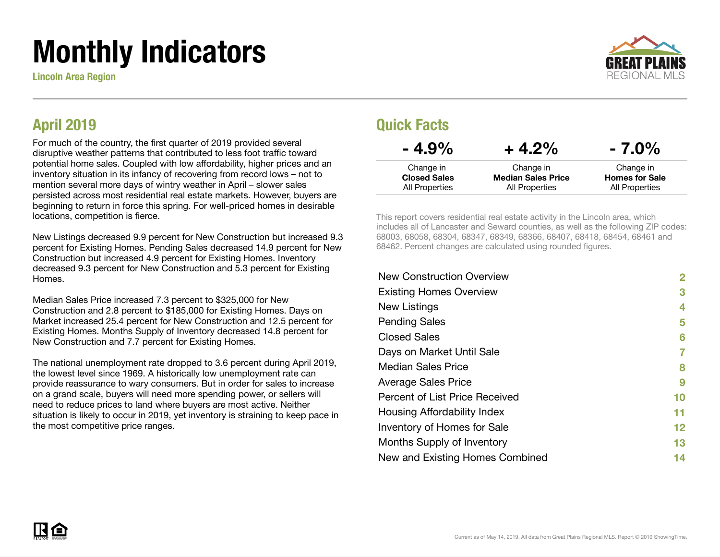# Monthly Indicators

Lincoln Area Region



#### April 2019

For much of the country, the first quarter of 2019 provided several disruptive weather patterns that contributed to less foot traffic toward potential home sales. Coupled with low affordability, higher prices and an inventory situation in its infancy of recovering from record lows – not to mention several more days of wintry weather in April – slower sales persisted across most residential real estate markets. However, buyers are beginning to return in force this spring. For well-priced homes in desirable locations, competition is fierce.

New Listings decreased 9.9 percent for New Construction but increased 9.3 percent for Existing Homes. Pending Sales decreased 14.9 percent for New Construction but increased 4.9 percent for Existing Homes. Inventory decreased 9.3 percent for New Construction and 5.3 percent for Existing Homes.

Median Sales Price increased 7.3 percent to \$325,000 for New Construction and 2.8 percent to \$185,000 for Existing Homes. Days on Market increased 25.4 percent for New Construction and 12.5 percent for Existing Homes. Months Supply of Inventory decreased 14.8 percent for New Construction and 7.7 percent for Existing Homes.

The national unemployment rate dropped to 3.6 percent during April 2019, the lowest level since 1969. A historically low unemployment rate can provide reassurance to wary consumers. But in order for sales to increase on a grand scale, buyers will need more spending power, or sellers will need to reduce prices to land where buyers are most active. Neither situation is likely to occur in 2019, yet inventory is straining to keep pace in the most competitive price ranges.

#### Quick Facts

| $-4.9\%$                         | $+4.2%$                                | $-7.0\%$                           |
|----------------------------------|----------------------------------------|------------------------------------|
| Change in<br><b>Closed Sales</b> | Change in<br><b>Median Sales Price</b> | Change in<br><b>Homes for Sale</b> |
| All Properties                   | All Properties                         | All Properties                     |

This report covers residential real estate activity in the Lincoln area, which includes all of Lancaster and Seward counties, as well as the following ZIP codes: 68003, 68058, 68304, 68347, 68349, 68366, 68407, 68418, 68454, 68461 and 68462. Percent changes are calculated using rounded figures.

| 2                 |
|-------------------|
| 3                 |
| 4                 |
| 5                 |
| 6                 |
| 7                 |
| 8                 |
| 9                 |
| 10                |
| 11                |
| $12 \ \mathsf{ }$ |
| 13                |
| 14                |
|                   |

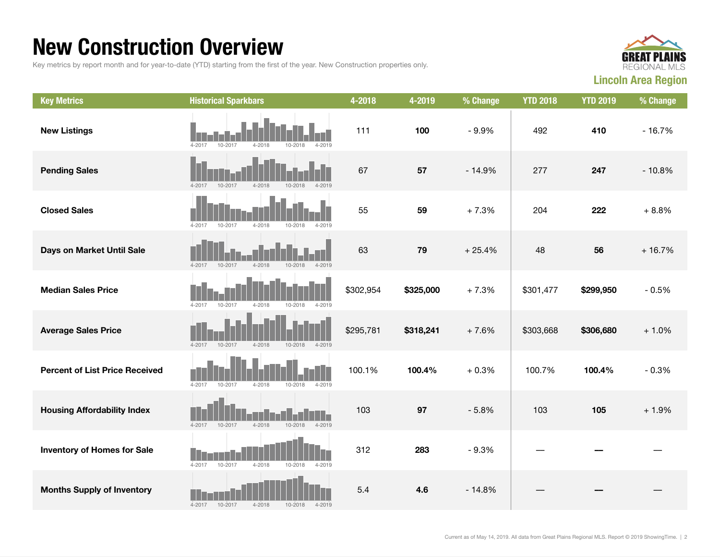### New Construction Overview

Key metrics by report month and for year-to-date (YTD) starting from the first of the year. New Construction properties only.



| <b>Key Metrics</b>                    | <b>Historical Sparkbars</b>                                      | 4-2018    | 4-2019    | % Change | <b>YTD 2018</b> | <b>YTD 2019</b> | % Change |
|---------------------------------------|------------------------------------------------------------------|-----------|-----------|----------|-----------------|-----------------|----------|
| <b>New Listings</b>                   | 10-2017<br>$4 - 2018$<br>4-2017<br>10-2018<br>4-2019             | 111       | 100       | $-9.9%$  | 492             | 410             | $-16.7%$ |
| <b>Pending Sales</b>                  | $4 - 2017$<br>10-2017<br>$4 - 2018$<br>10-2018<br>$4 - 2019$     | 67        | 57        | $-14.9%$ | 277             | 247             | $-10.8%$ |
| <b>Closed Sales</b>                   | 10-2017<br>$4 - 2018$<br>$4 - 2017$<br>10-2018<br>$4 - 2019$     | 55        | 59        | $+7.3%$  | 204             | 222             | $+8.8%$  |
| Days on Market Until Sale             | 4-2017<br>10-2017<br>$4 - 2018$<br>$10 - 2018$<br>$4 - 2019$     | 63        | 79        | $+25.4%$ | 48              | 56              | $+16.7%$ |
| <b>Median Sales Price</b>             | 4-2017<br>10-2017<br>$4 - 2018$<br>$10 - 2018$<br>$4 - 2019$     | \$302,954 | \$325,000 | $+7.3%$  | \$301,477       | \$299,950       | $-0.5%$  |
| <b>Average Sales Price</b>            | $4 - 2017$<br>10-2017<br>$4 - 2018$<br>$10 - 2018$<br>4-2019     | \$295,781 | \$318,241 | $+7.6%$  | \$303,668       | \$306,680       | $+1.0%$  |
| <b>Percent of List Price Received</b> | $4 - 2017$<br>10-2017<br>$4 - 2018$<br>$10 - 2018$<br>$4 - 2019$ | 100.1%    | 100.4%    | $+0.3%$  | 100.7%          | 100.4%          | $-0.3%$  |
| <b>Housing Affordability Index</b>    | $4 - 2019$<br>4-2017<br>10-2017<br>$4 - 2018$<br>10-2018         | 103       | 97        | $-5.8%$  | 103             | 105             | $+1.9%$  |
| <b>Inventory of Homes for Sale</b>    | 4-2017<br>10-2017<br>$4 - 2018$<br>10-2018<br>4-2019             | 312       | 283       | $-9.3%$  |                 |                 |          |
| <b>Months Supply of Inventory</b>     | $4 - 2018$<br>$4 - 2017$<br>10-2017<br>$10 - 2018$<br>$4 - 2019$ | 5.4       | 4.6       | $-14.8%$ |                 |                 |          |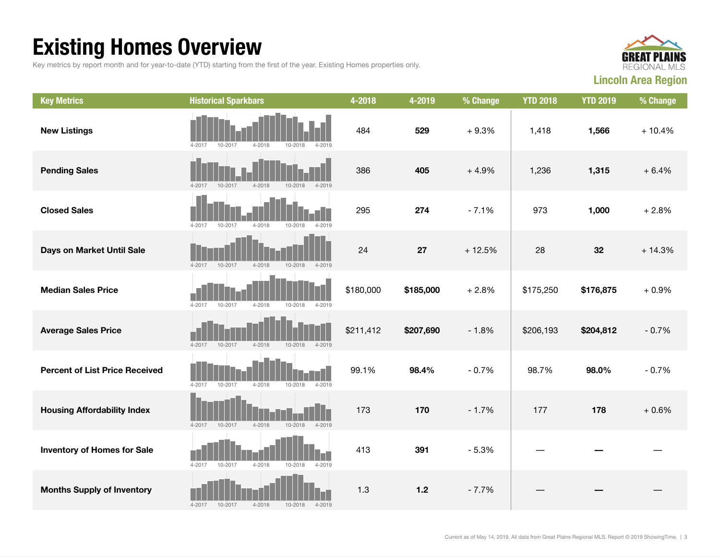## Existing Homes Overview

Key metrics by report month and for year-to-date (YTD) starting from the first of the year. Existing Homes properties only.



| <b>Key Metrics</b>                    | <b>Historical Sparkbars</b>                                      | 4-2018    | 4-2019    | % Change | <b>YTD 2018</b> | <b>YTD 2019</b> | % Change |
|---------------------------------------|------------------------------------------------------------------|-----------|-----------|----------|-----------------|-----------------|----------|
| <b>New Listings</b>                   | 10-2018<br>$4 - 2017$<br>10-2017<br>4-2018<br>4-2019             | 484       | 529       | $+9.3%$  | 1,418           | 1,566           | $+10.4%$ |
| <b>Pending Sales</b>                  | 10-2017<br>$4 - 2018$<br>$4 - 2017$<br>$10 - 2018$<br>$4 - 2019$ | 386       | 405       | $+4.9%$  | 1,236           | 1,315           | $+6.4%$  |
| <b>Closed Sales</b>                   | $4 - 2017$<br>10-2017<br>$4 - 2018$<br>10-2018<br>$4 - 2019$     | 295       | 274       | $-7.1%$  | 973             | 1,000           | $+2.8%$  |
| Days on Market Until Sale             | 10-2017<br>$4 - 2018$<br>10-2018<br>$4 - 2017$<br>$4 - 2019$     | 24        | 27        | $+12.5%$ | 28              | 32              | $+14.3%$ |
| <b>Median Sales Price</b>             | $4 - 2017$<br>10-2017<br>$4 - 2018$<br>$10 - 2018$<br>$4 - 2019$ | \$180,000 | \$185,000 | $+2.8%$  | \$175,250       | \$176,875       | $+0.9%$  |
| <b>Average Sales Price</b>            | $4 - 2017$<br>10-2017<br>$4 - 2018$<br>10-2018<br>4-2019         | \$211,412 | \$207,690 | $-1.8%$  | \$206,193       | \$204,812       | $-0.7%$  |
| <b>Percent of List Price Received</b> | $4 - 2017$<br>10-2017<br>$4 - 2018$<br>10-2018<br>4-2019         | 99.1%     | 98.4%     | $-0.7%$  | 98.7%           | 98.0%           | $-0.7%$  |
| <b>Housing Affordability Index</b>    | 10-2017<br>$4 - 2018$<br>10-2018<br>$4 - 2019$<br>$4 - 2017$     | 173       | 170       | $-1.7%$  | 177             | 178             | $+0.6%$  |
| <b>Inventory of Homes for Sale</b>    | $4 - 2018$<br>$4 - 2017$<br>10-2017<br>10-2018<br>$4 - 2019$     | 413       | 391       | $-5.3%$  |                 |                 |          |
| <b>Months Supply of Inventory</b>     | 10-2017<br>$4 - 2018$<br>10-2018<br>$4 - 2017$<br>$4 - 2019$     | 1.3       | $1.2$     | $-7.7%$  |                 |                 |          |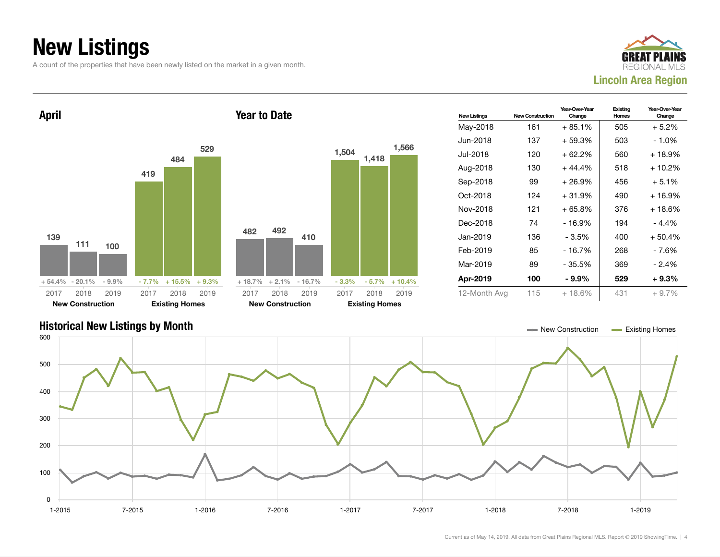## New Listings

A count of the properties that have been newly listed on the market in a given month.





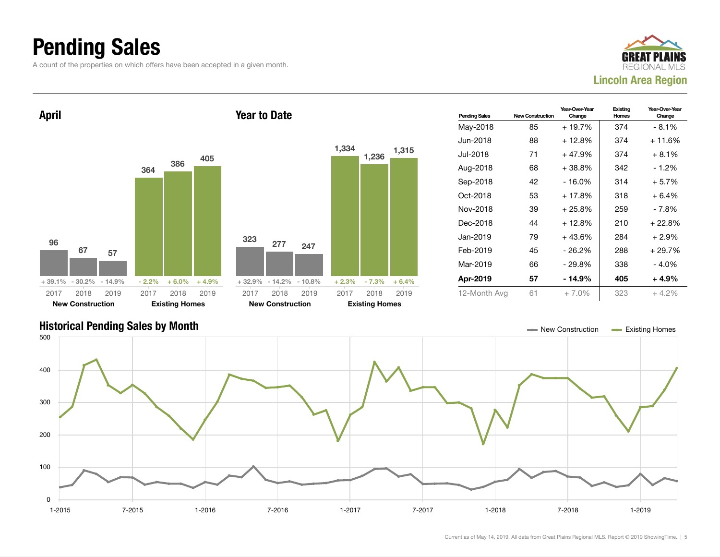### Pending Sales

A count of the properties on which offers have been accepted in a given month.





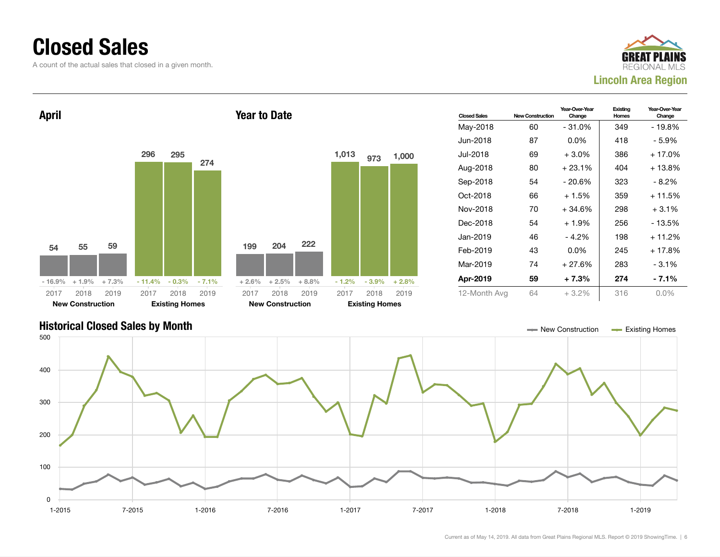### Closed Sales

A count of the actual sales that closed in a given month.





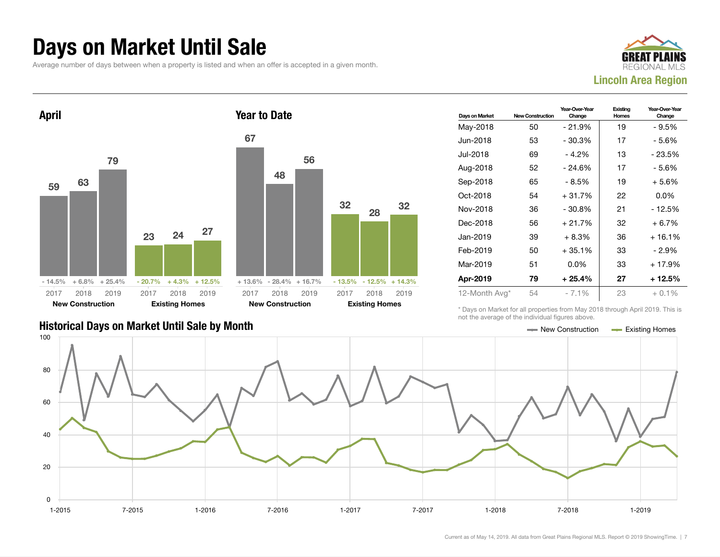#### Days on Market Until Sale

Average number of days between when a property is listed and when an offer is accepted in a given month.





| Days on Market | <b>New Construction</b> | Year-Over-Year<br>Change | Existing<br>Homes | Year-Over-Year<br>Change |
|----------------|-------------------------|--------------------------|-------------------|--------------------------|
| May-2018       | 50                      | $-21.9%$                 | 19                | - 9.5%                   |
| Jun-2018       | 53                      | $-30.3%$                 | 17                | - 5.6%                   |
| Jul-2018       | 69                      | $-4.2%$                  | 13                | - 23.5%                  |
| Aug-2018       | 52                      | $-24.6%$                 | 17                | - 5.6%                   |
| Sep-2018       | 65                      | - 8.5%                   | 19                | $+5.6%$                  |
| Oct-2018       | 54                      | $+31.7%$                 | 22                | $0.0\%$                  |
| Nov-2018       | 36                      | $-30.8\%$                | 21                | - 12.5%                  |
| Dec-2018       | 56                      | $+21.7%$                 | 32                | $+6.7\%$                 |
| Jan-2019       | 39                      | $+8.3%$                  | 36                | $+16.1%$                 |
| Feb-2019       | 50                      | $+35.1%$                 | 33                | $-2.9%$                  |
| Mar-2019       | 51                      | $0.0\%$                  | 33                | + 17.9%                  |
| Apr-2019       | 79                      | $+25.4%$                 | 27                | + 12.5%                  |
| 12-Month Avg*  | 54                      | $-7.1\%$                 | 23                | $+0.1%$                  |

#### Historical Days on Market Until Sale by Month New York New York New York New York New Construction Access Existing Homes

\* Days on Market for all properties from May 2018 through April 2019. This is not the average of the individual figures above.

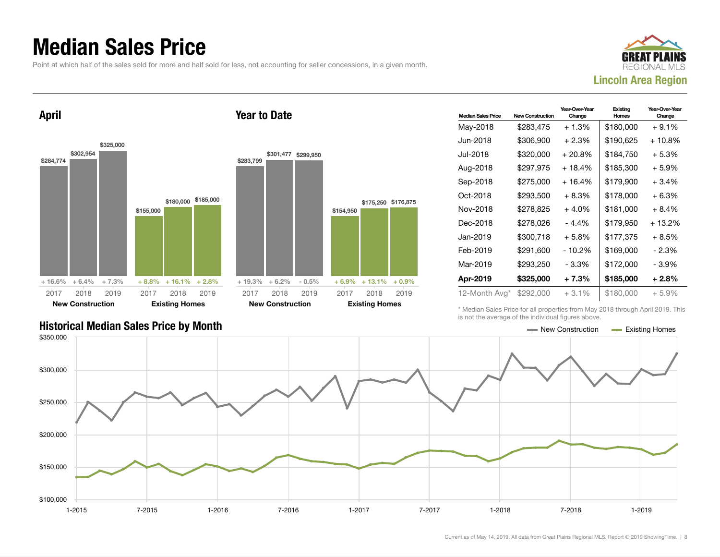### Median Sales Price

Point at which half of the sales sold for more and half sold for less, not accounting for seller concessions, in a given month.

Year to Date



April



#### \$283,799 \$301,477 \$299,950  $+ 19.3\% + 6.2\% - 0.5\%$ \$154,950 \$175,250 \$176,875  $+ 6.9\% + 13.1\% + 0.9\%$ 2017 New Construction 2018 2019 2017 Existing Homes 2018 2019

| <b>Median Sales Price</b> | <b>New Construction</b> | Year-Over-Year<br>Change | Existing<br><b>Homes</b> | Year-Over-Year<br>Change |
|---------------------------|-------------------------|--------------------------|--------------------------|--------------------------|
| May-2018                  | \$283,475               | $+1.3%$                  | \$180,000                | $+9.1%$                  |
| Jun-2018                  | \$306,900               | $+2.3%$                  | \$190,625                | $+10.8\%$                |
| Jul-2018                  | \$320,000               | $+20.8\%$                | \$184,750                | + 5.3%                   |
| Aug-2018                  | \$297,975               | + 18.4%                  | \$185,300                | + 5.9%                   |
| Sep-2018                  | \$275,000               | $+16.4%$                 | \$179,900                | $+3.4%$                  |
| Oct-2018                  | \$293,500               | $+8.3%$                  | \$178,000                | $+6.3%$                  |
| Nov-2018                  | \$278,825               | $+4.0%$                  | \$181,000                | + 8.4%                   |
| Dec-2018                  | \$278,026               | - 4.4%                   | \$179,950                | + 13.2%                  |
| Jan-2019                  | \$300,718               | $+5.8\%$                 | \$177,375                | + 8.5%                   |
| Feb-2019                  | \$291,600               | - 10.2%                  | \$169,000                | $-2.3%$                  |
| Mar-2019                  | \$293,250               | - 3.3%                   | \$172,000                | - 3.9%                   |
| Apr-2019                  | \$325,000               | $+7.3%$                  | \$185,000                | $+2.8%$                  |
| 12-Month Avg*             | \$292,000               | $+3.1%$                  | \$180,000                | + 5.9%                   |

Historical Median Sales Price by Month  $\blacksquare$  Existing Homes

\* Median Sales Price for all properties from May 2018 through April 2019. This is not the average of the individual figures above.

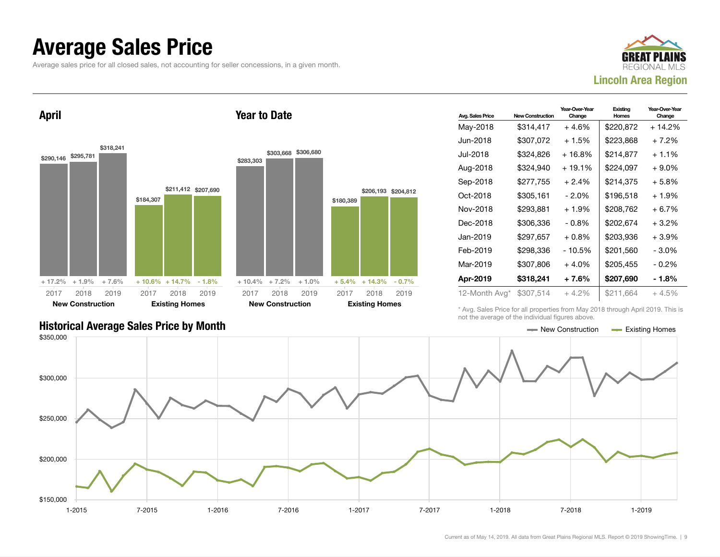#### Average Sales Price

Average sales price for all closed sales, not accounting for seller concessions, in a given month.

Year to Date



Year-Over-Year

Existing

April



| Avg. Sales Price | <b>New Construction</b> | Change   | <b>Homes</b> | Change   |
|------------------|-------------------------|----------|--------------|----------|
| May-2018         | \$314,417               | $+4.6%$  | \$220,872    | $+14.2%$ |
| Jun-2018         | \$307,072               | + 1.5%   | \$223,868    | + 7.2%   |
| Jul-2018         | \$324,826               | $+16.8%$ | \$214,877    | $+1.1\%$ |
| Aug-2018         | \$324,940               | $+19.1%$ | \$224,097    | $+9.0\%$ |
| Sep-2018         | \$277,755               | $+2.4%$  | \$214,375    | $+5.8%$  |
| Oct-2018         | \$305,161               | $-2.0\%$ | \$196.518    | $+1.9%$  |
| Nov-2018         | \$293,881               | $+1.9%$  | \$208,762    | + 6.7%   |
| Dec-2018         | \$306,336               | $-0.8%$  | \$202,674    | $+3.2%$  |
| Jan-2019         | \$297,657               | $+0.8\%$ | \$203,936    | $+3.9%$  |
| Feb-2019         | \$298,336               | $-10.5%$ | \$201,560    | $-3.0\%$ |
| Mar-2019         | \$307,806               | $+4.0%$  | \$205,455    | $-0.2\%$ |
| Apr-2019         | \$318,241               | + 7.6%   | \$207,690    | - 1.8%   |
| 12-Month Avg*    | \$307,514               | $+4.2\%$ | \$211,664    | $+4.5%$  |
|                  |                         |          |              |          |

Historical Average Sales Price by Month **New Act of Average Sales Price by Month** New Construction **New Construction** 

\* Avg. Sales Price for all properties from May 2018 through April 2019. This is not the average of the individual figures above.

Year-Over-Year



\$206,193 \$204,812

2018 2019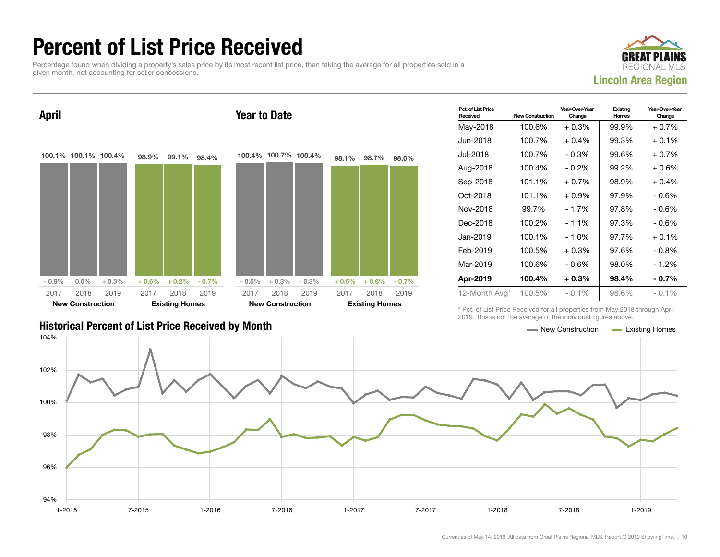### Percent of List Price Received

Percentage found when dividing a property's sales price by its most recent list price, then taking the average for all properties sold in a given month, not accounting for seller concessions.





| Pct. of List Price<br>Received | <b>New Construction</b> | Year-Over-Year<br>Change | Existing<br>Homes | Year-Over-Year<br>Change |
|--------------------------------|-------------------------|--------------------------|-------------------|--------------------------|
| May-2018                       | 100.6%                  | $+0.3%$                  | 99.9%             | $+0.7%$                  |
| Jun-2018                       | 100.7%                  | $+0.4\%$                 | 99.3%             | $+0.1\%$                 |
| Jul-2018                       | 100.7%                  | $-0.3%$                  | 99.6%             | $+0.7%$                  |
| Aug-2018                       | 100.4%                  | $-0.2%$                  | 99.2%             | $+0.6%$                  |
| Sep-2018                       | 101.1%                  | $+0.7\%$                 | 98.9%             | $+0.4%$                  |
| Oct-2018                       | 101.1%                  | $+0.9\%$                 | 97.9%             | - 0.6%                   |
| Nov-2018                       | 99.7%                   | $-1.7%$                  | 97.8%             | $-0.6%$                  |
| Dec-2018                       | 100.2%                  | $-1.1\%$                 | 97.3%             | - 0.6%                   |
| Jan-2019                       | 100.1%                  | $-1.0%$                  | 97.7%             | $+0.1%$                  |
| Feb-2019                       | 100.5%                  | $+0.3\%$                 | 97.6%             | $-0.8\%$                 |
| Mar-2019                       | 100.6%                  | - 0.6%                   | 98.0%             | - 1.2%                   |
| Apr-2019                       | 100.4%                  | $+0.3\%$                 | 98.4%             | $-0.7\%$                 |
| 12-Month Avg*                  | 100.5%                  | $-0.1\%$                 | 98.6%             | $-0.1\%$                 |

#### Historical Percent of List Price Received by Month New Construction According Homes

\* Pct. of List Price Received for all properties from May 2018 through April 2019. This is not the average of the individual figures above.

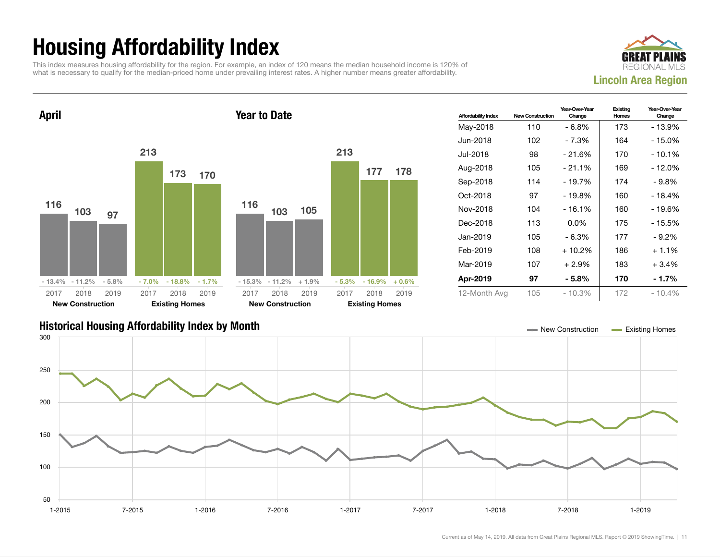## Housing Affordability Index

This index measures housing affordability for the region. For example, an index of 120 means the median household income is 120% of what is necessary to qualify for the median-priced home under prevailing interest rates. A higher number means greater affordability.





| <b>Affordability Index</b> | <b>New Construction</b> | Year-Over-Year<br>Change | Existing<br>Homes | Year-Over-Year<br>Change |
|----------------------------|-------------------------|--------------------------|-------------------|--------------------------|
| May-2018                   | 110                     | - 6.8%                   | 173               | - 13.9%                  |
| Jun-2018                   | 102                     | - 7.3%                   | 164               | - 15.0%                  |
| Jul-2018                   | 98                      | $-21.6%$                 | 170               | $-10.1%$                 |
| Aug-2018                   | 105                     | $-21.1%$                 | 169               | - 12.0%                  |
| Sep-2018                   | 114                     | - 19.7%                  | 174               | - 9.8%                   |
| Oct-2018                   | 97                      | - 19.8%                  | 160               | - 18.4%                  |
| Nov-2018                   | 104                     | $-16.1%$                 | 160               | - 19.6%                  |
| Dec-2018                   | 113                     | $0.0\%$                  | 175               | $-15.5%$                 |
| Jan-2019                   | 105                     | - 6.3%                   | 177               | $-9.2\%$                 |
| Feb-2019                   | 108                     | $+10.2%$                 | 186               | $+1.1%$                  |
| Mar-2019                   | 107                     | $+2.9%$                  | 183               | $+3.4%$                  |
| Apr-2019                   | 97                      | - 5.8%                   | 170               | $-1.7%$                  |
| 12-Month Avg               | 105                     | $-10.3%$                 | 172               | $-10.4%$                 |

#### Historical Housing Affordability Index by Month New Construction Existing Homes

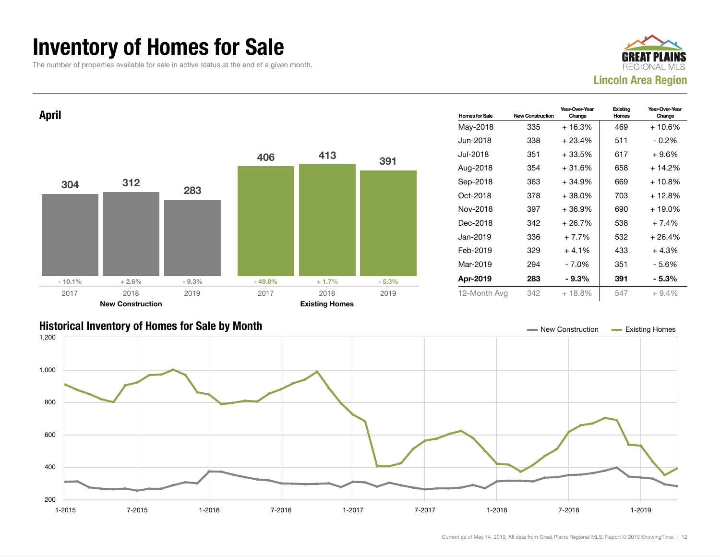### Inventory of Homes for Sale

The number of properties available for sale in active status at the end of a given month.







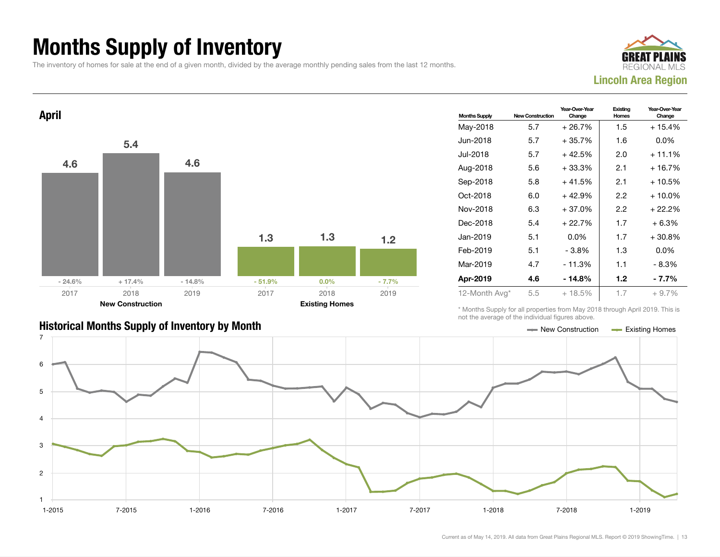### Months Supply of Inventory

The inventory of homes for sale at the end of a given month, divided by the average monthly pending sales from the last 12 months.





| <b>Months Supply</b> | <b>New Construction</b> | Year-Over-Year<br>Change | Existing<br>Homes | Year-Over-Year<br>Change |
|----------------------|-------------------------|--------------------------|-------------------|--------------------------|
| May-2018             | 5.7                     | $+26.7%$                 | 1.5               | $+15.4%$                 |
| Jun-2018             | 5.7                     | $+35.7%$                 | 1.6               | $0.0\%$                  |
| Jul-2018             | 5.7                     | + 42.5%                  | 2.0               | $+11.1%$                 |
| Aug-2018             | 5.6                     | $+33.3%$                 | 2.1               | $+16.7%$                 |
| Sep-2018             | 5.8                     | $+41.5%$                 | 2.1               | + 10.5%                  |
| Oct-2018             | 6.0                     | $+42.9%$                 | 2.2               | $+10.0\%$                |
| Nov-2018             | 6.3                     | $+37.0%$                 | 2.2               | + 22.2%                  |
| Dec-2018             | 5.4                     | $+22.7%$                 | 1.7               | $+6.3%$                  |
| Jan-2019             | 5.1                     | $0.0\%$                  | 1.7               | $+30.8%$                 |
| Feb-2019             | 5.1                     | $-3.8%$                  | 1.3               | $0.0\%$                  |
| Mar-2019             | 4.7                     | $-11.3%$                 | 1.1               | $-8.3%$                  |
| Apr-2019             | 4.6                     | - 14.8%                  | 1.2               | - 7.7%                   |
| 12-Month Avg*        | 5.5                     | $+18.5%$                 | 1.7               | $+9.7%$                  |

\* Months Supply for all properties from May 2018 through April 2019. This is not the average of the individual figures above.



#### Historical Months Supply of Inventory by Month New York New York New York New York New Construction Access Existing Homes